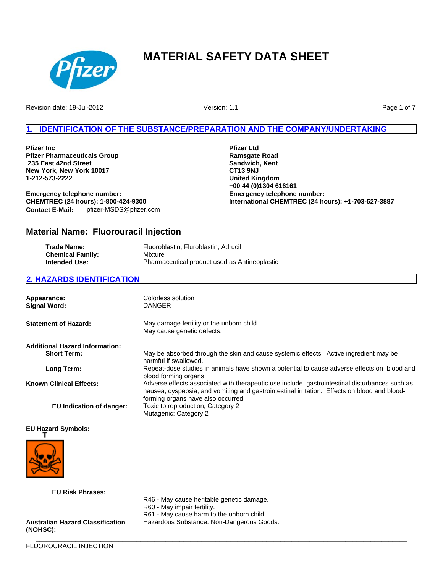

Revision date: 19-Jul-2012

Version: 1.1

Page 1 of 7

# **IDENTIFICATION OF THE SUBSTANCE/PREPARATION AND THE COMPANY/UNDERTAKING**

**Pfizer Inc Pfizer Pharmaceuticals Group 235 East 42nd Street New York, New York 10017 1-212-573-2222**

**Emergency telephone number: CHEMTREC (24 hours): 1-800-424-9300 Contact E-Mail:** pfizer-MSDS@pfizer.com **Pfizer Ltd Ramsgate Road Sandwich, Kent CT13 9NJ United Kingdom +00 44 (0)1304 616161 Emergency telephone number: International CHEMTREC (24 hours): +1-703-527-3887**

# **Material Name: Fluorouracil Injection**

| Trade Name:             | Fluoroblastin; Fluroblastin; Adrucil          |
|-------------------------|-----------------------------------------------|
| <b>Chemical Family:</b> | Mixture                                       |
| <b>Intended Use:</b>    | Pharmaceutical product used as Antineoplastic |

## **2. HAZARDS IDENTIFICATION**

| Appearance:<br><b>Signal Word:</b>    | Colorless solution<br><b>DANGER</b>                                                                                                                                                                                                 |
|---------------------------------------|-------------------------------------------------------------------------------------------------------------------------------------------------------------------------------------------------------------------------------------|
| <b>Statement of Hazard:</b>           | May damage fertility or the unborn child.<br>May cause genetic defects.                                                                                                                                                             |
| <b>Additional Hazard Information:</b> |                                                                                                                                                                                                                                     |
| <b>Short Term:</b>                    | May be absorbed through the skin and cause systemic effects. Active ingredient may be<br>harmful if swallowed.                                                                                                                      |
| Long Term:                            | Repeat-dose studies in animals have shown a potential to cause adverse effects on blood and<br>blood forming organs.                                                                                                                |
| <b>Known Clinical Effects:</b>        | Adverse effects associated with therapeutic use include gastrointestinal disturbances such as<br>nausea, dyspepsia, and vomiting and gastrointestinal irritation. Effects on blood and blood-<br>forming organs have also occurred. |
| EU Indication of danger:              | Toxic to reproduction, Category 2<br>Mutagenic: Category 2                                                                                                                                                                          |

**\_\_\_\_\_\_\_\_\_\_\_\_\_\_\_\_\_\_\_\_\_\_\_\_\_\_\_\_\_\_\_\_\_\_\_\_\_\_\_\_\_\_\_\_\_\_\_\_\_\_\_\_\_\_\_\_\_\_\_\_\_\_\_\_\_\_\_\_\_\_\_\_\_\_\_\_\_\_\_\_\_\_\_\_\_\_\_\_\_\_\_\_\_\_\_\_\_\_\_\_\_\_\_**

## **EU Hazard Symbols:**



**(NOHSC):**

**EU Risk Phrases:** R46 - May cause heritable genetic damage. R60 - May impair fertility. R61 - May cause harm to the unborn child. **Australian Hazard Classification** Hazardous Substance. Non-Dangerous Goods.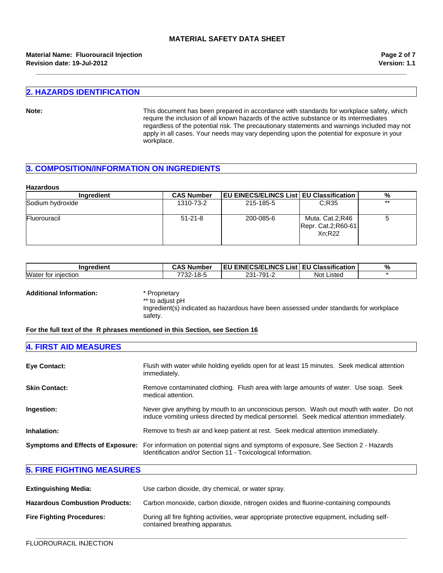**\_\_\_\_\_\_\_\_\_\_\_\_\_\_\_\_\_\_\_\_\_\_\_\_\_\_\_\_\_\_\_\_\_\_\_\_\_\_\_\_\_\_\_\_\_\_\_\_\_\_\_\_\_\_\_\_\_\_\_\_\_\_\_\_\_\_\_\_\_\_\_\_\_\_\_\_\_\_\_\_\_\_\_\_\_\_\_\_\_\_\_\_\_\_\_\_\_\_\_\_\_\_\_**

#### **Revision date: 19-Jul-2012 Material Name: Fluorouracil Injection**

**Version: 1.1 Page 2 of 7**

## **2. HAZARDS IDENTIFICATION**

Note: **Note:** This document has been prepared in accordance with standards for workplace safety, which require the inclusion of all known hazards of the active substance or its intermediates regardless of the potential risk. The precautionary statements and warnings included may not apply in all cases. Your needs may vary depending upon the potential for exposure in your workplace.

# **3. COMPOSITION/INFORMATION ON INGREDIENTS**

#### **Hazardous**

| <b>Ingredient</b> | <b>CAS Number</b> | EU EINECS/ELINCS List   EU Classification |                                                 | %     |
|-------------------|-------------------|-------------------------------------------|-------------------------------------------------|-------|
| Sodium hydroxide  | 1310-73-2         | 215-185-5                                 | C:R35                                           | $***$ |
| Fluorouracil      | $51 - 21 - 8$     | 200-085-6                                 | Muta. Cat.2;R46<br>Repr. Cat.2;R60-61<br>Xn:R22 |       |

| edient                           | ∴AS N                   | <b>IEU EINECS/ELINCS</b> | <b>EU Classification</b> | $^{\circ}$ |
|----------------------------------|-------------------------|--------------------------|--------------------------|------------|
| Inare                            | . Number                | List.                    |                          | 7ο         |
| Water<br>tor<br><b>Iniection</b> | 40E<br>7700<br>ס-סו−∠כי | 791-<br>ດດ 4             | Not<br>Listed            |            |

**Additional Information:** \* Proprietary

\*\* to adjust pH Ingredient(s) indicated as hazardous have been assessed under standards for workplace safety.

## **For the full text of the R phrases mentioned in this Section, see Section 16**

| <b>4. FIRST AID MEASURES</b> |                                                                                                                                                                                         |
|------------------------------|-----------------------------------------------------------------------------------------------------------------------------------------------------------------------------------------|
| <b>Eye Contact:</b>          | Flush with water while holding eyelids open for at least 15 minutes. Seek medical attention<br>immediately.                                                                             |
| <b>Skin Contact:</b>         | Remove contaminated clothing. Flush area with large amounts of water. Use soap. Seek<br>medical attention.                                                                              |
| Ingestion:                   | Never give anything by mouth to an unconscious person. Wash out mouth with water. Do not<br>induce vomiting unless directed by medical personnel. Seek medical attention immediately.   |
| Inhalation:                  | Remove to fresh air and keep patient at rest. Seek medical attention immediately.                                                                                                       |
|                              | Symptoms and Effects of Exposure: For information on potential signs and symptoms of exposure, See Section 2 - Hazards<br>Identification and/or Section 11 - Toxicological Information. |

## **5. FIRE FIGHTING MEASURES**

| <b>Extinguishing Media:</b>           | Use carbon dioxide, dry chemical, or water spray.                                                                             |
|---------------------------------------|-------------------------------------------------------------------------------------------------------------------------------|
| <b>Hazardous Combustion Products:</b> | Carbon monoxide, carbon dioxide, nitrogen oxides and fluorine-containing compounds                                            |
| <b>Fire Fighting Procedures:</b>      | During all fire fighting activities, wear appropriate protective equipment, including self-<br>contained breathing apparatus. |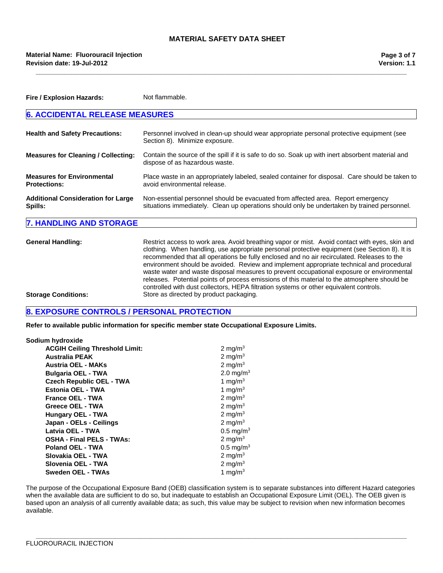**\_\_\_\_\_\_\_\_\_\_\_\_\_\_\_\_\_\_\_\_\_\_\_\_\_\_\_\_\_\_\_\_\_\_\_\_\_\_\_\_\_\_\_\_\_\_\_\_\_\_\_\_\_\_\_\_\_\_\_\_\_\_\_\_\_\_\_\_\_\_\_\_\_\_\_\_\_\_\_\_\_\_\_\_\_\_\_\_\_\_\_\_\_\_\_\_\_\_\_\_\_\_\_**

| Fire / Explosion Hazards:                                | Not flammable.                                                                                                                                                                                                                                                                                                                                                                                                                                                                                                                                                                                                                                                                   |  |
|----------------------------------------------------------|----------------------------------------------------------------------------------------------------------------------------------------------------------------------------------------------------------------------------------------------------------------------------------------------------------------------------------------------------------------------------------------------------------------------------------------------------------------------------------------------------------------------------------------------------------------------------------------------------------------------------------------------------------------------------------|--|
| <b>6. ACCIDENTAL RELEASE MEASURES</b>                    |                                                                                                                                                                                                                                                                                                                                                                                                                                                                                                                                                                                                                                                                                  |  |
| <b>Health and Safety Precautions:</b>                    | Personnel involved in clean-up should wear appropriate personal protective equipment (see<br>Section 8). Minimize exposure.                                                                                                                                                                                                                                                                                                                                                                                                                                                                                                                                                      |  |
| <b>Measures for Cleaning / Collecting:</b>               | Contain the source of the spill if it is safe to do so. Soak up with inert absorbent material and<br>dispose of as hazardous waste.                                                                                                                                                                                                                                                                                                                                                                                                                                                                                                                                              |  |
| <b>Measures for Environmental</b><br><b>Protections:</b> | Place waste in an appropriately labeled, sealed container for disposal. Care should be taken to<br>avoid environmental release.                                                                                                                                                                                                                                                                                                                                                                                                                                                                                                                                                  |  |
| <b>Additional Consideration for Large</b><br>Spills:     | Non-essential personnel should be evacuated from affected area. Report emergency<br>situations immediately. Clean up operations should only be undertaken by trained personnel.                                                                                                                                                                                                                                                                                                                                                                                                                                                                                                  |  |
| <b>7. HANDLING AND STORAGE</b>                           |                                                                                                                                                                                                                                                                                                                                                                                                                                                                                                                                                                                                                                                                                  |  |
| <b>General Handling:</b>                                 | Restrict access to work area. Avoid breathing vapor or mist. Avoid contact with eyes, skin and<br>clothing. When handling, use appropriate personal protective equipment (see Section 8). It is<br>recommended that all operations be fully enclosed and no air recirculated. Releases to the<br>environment should be avoided. Review and implement appropriate technical and procedural<br>waste water and waste disposal measures to prevent occupational exposure or environmental<br>releases. Potential points of process emissions of this material to the atmosphere should be<br>controlled with dust collectors, HEPA filtration systems or other equivalent controls. |  |

**Storage Conditions:** Store as directed by product packaging.

## **8. EXPOSURE CONTROLS / PERSONAL PROTECTION**

**Refer to available public information for specific member state Occupational Exposure Limits.**

| Sodium hydroxide                      |                         |
|---------------------------------------|-------------------------|
| <b>ACGIH Ceiling Threshold Limit:</b> | 2 mg/m <sup>3</sup>     |
| <b>Australia PEAK</b>                 | 2 mg/m $3$              |
| <b>Austria OEL - MAKs</b>             | 2 mg/m $3$              |
| <b>Bulgaria OEL - TWA</b>             | 2.0 mg/m <sup>3</sup>   |
| <b>Czech Republic OEL - TWA</b>       | 1 mg/m $3$              |
| Estonia OEL - TWA                     | 1 mg/m $3$              |
| <b>France OEL - TWA</b>               | 2 mg/m $3$              |
| Greece OEL - TWA                      | 2 mg/m $3$              |
| <b>Hungary OEL - TWA</b>              | 2 mg/m $3$              |
| Japan - OELs - Ceilings               | 2 mg/m $3$              |
| Latvia OEL - TWA                      | $0.5 \,\mathrm{mg/m^3}$ |
| <b>OSHA - Final PELS - TWAs:</b>      | 2 mg/m $3$              |
| Poland OEL - TWA                      | $0.5 \,\mathrm{mg/m^3}$ |
| Slovakia OEL - TWA                    | 2 mg/m $3$              |
| Slovenia OEL - TWA                    | $2 \text{ mg/m}^3$      |
| Sweden OEL - TWAs                     | 1 mg/m <sup>3</sup>     |

The purpose of the Occupational Exposure Band (OEB) classification system is to separate substances into different Hazard categories when the available data are sufficient to do so, but inadequate to establish an Occupational Exposure Limit (OEL). The OEB given is based upon an analysis of all currently available data; as such, this value may be subject to revision when new information becomes available.

**\_\_\_\_\_\_\_\_\_\_\_\_\_\_\_\_\_\_\_\_\_\_\_\_\_\_\_\_\_\_\_\_\_\_\_\_\_\_\_\_\_\_\_\_\_\_\_\_\_\_\_\_\_\_\_\_\_\_\_\_\_\_\_\_\_\_\_\_\_\_\_\_\_\_\_\_\_\_\_\_\_\_\_\_\_\_\_\_\_\_\_\_\_\_\_\_\_\_\_\_\_\_\_**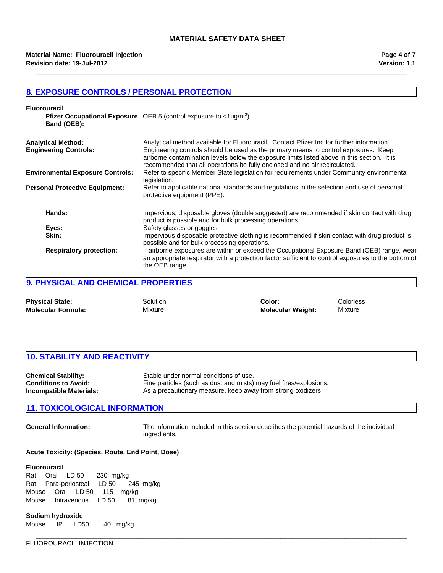**\_\_\_\_\_\_\_\_\_\_\_\_\_\_\_\_\_\_\_\_\_\_\_\_\_\_\_\_\_\_\_\_\_\_\_\_\_\_\_\_\_\_\_\_\_\_\_\_\_\_\_\_\_\_\_\_\_\_\_\_\_\_\_\_\_\_\_\_\_\_\_\_\_\_\_\_\_\_\_\_\_\_\_\_\_\_\_\_\_\_\_\_\_\_\_\_\_\_\_\_\_\_\_**

## **8. EXPOSURE CONTROLS / PERSONAL PROTECTION**

| <b>Fluorouracil</b><br>Band (OEB):                        | <b>Pfizer Occupational Exposure</b> OEB 5 (control exposure to $\langle$ 1ug/m <sup>3</sup> )                                                                                                                                                                                                                                                                 |
|-----------------------------------------------------------|---------------------------------------------------------------------------------------------------------------------------------------------------------------------------------------------------------------------------------------------------------------------------------------------------------------------------------------------------------------|
| <b>Analytical Method:</b><br><b>Engineering Controls:</b> | Analytical method available for Fluorouracil. Contact Pfizer Inc for further information.<br>Engineering controls should be used as the primary means to control exposures. Keep<br>airborne contamination levels below the exposure limits listed above in this section. It is<br>recommended that all operations be fully enclosed and no air recirculated. |
| <b>Environmental Exposure Controls:</b>                   | Refer to specific Member State legislation for requirements under Community environmental<br>legislation.                                                                                                                                                                                                                                                     |
| <b>Personal Protective Equipment:</b>                     | Refer to applicable national standards and regulations in the selection and use of personal<br>protective equipment (PPE).                                                                                                                                                                                                                                    |
| Hands:                                                    | Impervious, disposable gloves (double suggested) are recommended if skin contact with drug<br>product is possible and for bulk processing operations.                                                                                                                                                                                                         |
| Eyes:                                                     | Safety glasses or goggles                                                                                                                                                                                                                                                                                                                                     |
| Skin:                                                     | Impervious disposable protective clothing is recommended if skin contact with drug product is<br>possible and for bulk processing operations.                                                                                                                                                                                                                 |
| <b>Respiratory protection:</b>                            | If airborne exposures are within or exceed the Occupational Exposure Band (OEB) range, wear<br>an appropriate respirator with a protection factor sufficient to control exposures to the bottom of<br>the OEB range.                                                                                                                                          |

# **9. PHYSICAL AND CHEMICAL PROPERTIES**

| <b>Physical State:</b>    | Solution | Color:                   | <b>Colorless</b> |
|---------------------------|----------|--------------------------|------------------|
| <b>Molecular Formula:</b> | Mixture  | <b>Molecular Weight:</b> | Mixture          |

## **10. STABILITY AND REACTIVITY**

| <b>Chemical Stability:</b>  | Stable under normal conditions of use.                             |
|-----------------------------|--------------------------------------------------------------------|
| <b>Conditions to Avoid:</b> | Fine particles (such as dust and mists) may fuel fires/explosions. |
| Incompatible Materials:     | As a precautionary measure, keep away from strong oxidizers        |

# **11. TOXICOLOGICAL INFORMATION**

**General Information:** The information included in this section describes the potential hazards of the individual ingredients.

**\_\_\_\_\_\_\_\_\_\_\_\_\_\_\_\_\_\_\_\_\_\_\_\_\_\_\_\_\_\_\_\_\_\_\_\_\_\_\_\_\_\_\_\_\_\_\_\_\_\_\_\_\_\_\_\_\_\_\_\_\_\_\_\_\_\_\_\_\_\_\_\_\_\_\_\_\_\_\_\_\_\_\_\_\_\_\_\_\_\_\_\_\_\_\_\_\_\_\_\_\_\_\_**

#### **Acute Toxicity: (Species, Route, End Point, Dose)**

#### **Fluorouracil**

RatOralLD 50230mg/kg RatPara-periostealLD 50245mg/kg MouseOralLD 50115mg/kg MouseIntravenousLD 5081mg/kg

#### **Sodium hydroxide**

Mouse IP LD50 40 mg/kg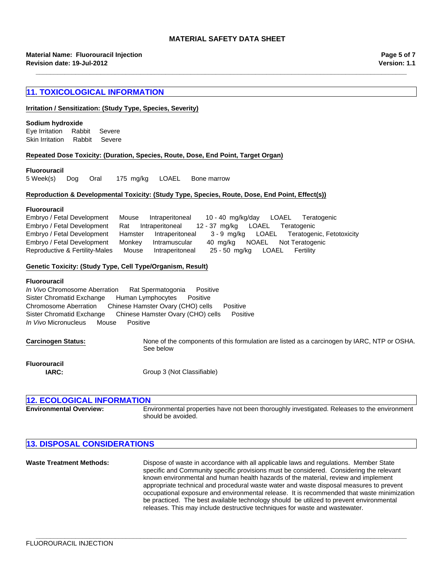**\_\_\_\_\_\_\_\_\_\_\_\_\_\_\_\_\_\_\_\_\_\_\_\_\_\_\_\_\_\_\_\_\_\_\_\_\_\_\_\_\_\_\_\_\_\_\_\_\_\_\_\_\_\_\_\_\_\_\_\_\_\_\_\_\_\_\_\_\_\_\_\_\_\_\_\_\_\_\_\_\_\_\_\_\_\_\_\_\_\_\_\_\_\_\_\_\_\_\_\_\_\_\_**

## **11. TOXICOLOGICAL INFORMATION**

#### **Irritation / Sensitization: (Study Type, Species, Severity)**

#### **Sodium hydroxide**

Skin IrritationRabbitSevere Eye IrritationRabbitSevere

## **Repeated Dose Toxicity: (Duration, Species, Route, Dose, End Point, Target Organ)**

#### **Fluorouracil**

5 Week(s)DogOral175mg/kgLOAELBone marrow

#### **Reproduction & Developmental Toxicity: (Study Type, Species, Route, Dose, End Point, Effect(s))**

#### **Fluorouracil**

Embryo / Fetal DevelopmentMouseIntraperitoneal10 - 40mg/kg/dayLOAELTeratogenic Embryo / Fetal DevelopmentRatIntraperitoneal12 - 37mg/kgLOAELTeratogenic Embryo / Fetal DevelopmentHamsterIntraperitoneal3 - 9mg/kgLOAELTeratogenic, Fetotoxicity Embryo / Fetal DevelopmentMonkeyIntramuscular40mg/kgNOAELNot Teratogenic Reproductive & Fertility-MalesMouseIntraperitoneal25 - 50mg/kgLOAELFertility

#### **Genetic Toxicity: (Study Type, Cell Type/Organism, Result)**

#### **Fluorouracil**

Sister Chromatid ExchangeChinese Hamster Ovary (CHO) cellsPositive *In Vivo* MicronucleusMousePositive *In Vivo* Chromosome AberrationRat SpermatogoniaPositive Sister Chromatid ExchangeHuman LymphocytesPositive Chromosome AberrationChinese Hamster Ovary (CHO) cellsPositive

**Carcinogen Status:** None of the components of this formulation are listed as a carcinogen by IARC, NTP or OSHA. See below

**Fluorouracil**

**IARC:** Group 3 (Not Classifiable)

## **12. ECOLOGICAL INFORMATION Environmental Overview:** Environmental properties have not been thoroughly investigated. Releases to the environment should be avoided.

## **13. DISPOSAL CONSIDERATIONS**

**Waste Treatment Methods:** Dispose of waste in accordance with all applicable laws and regulations. Member State specific and Community specific provisions must be considered. Considering the relevant known environmental and human health hazards of the material, review and implement appropriate technical and procedural waste water and waste disposal measures to prevent occupational exposure and environmental release. It is recommended that waste minimization be practiced. The best available technology should be utilized to prevent environmental releases. This may include destructive techniques for waste and wastewater.

**\_\_\_\_\_\_\_\_\_\_\_\_\_\_\_\_\_\_\_\_\_\_\_\_\_\_\_\_\_\_\_\_\_\_\_\_\_\_\_\_\_\_\_\_\_\_\_\_\_\_\_\_\_\_\_\_\_\_\_\_\_\_\_\_\_\_\_\_\_\_\_\_\_\_\_\_\_\_\_\_\_\_\_\_\_\_\_\_\_\_\_\_\_\_\_\_\_\_\_\_\_\_\_**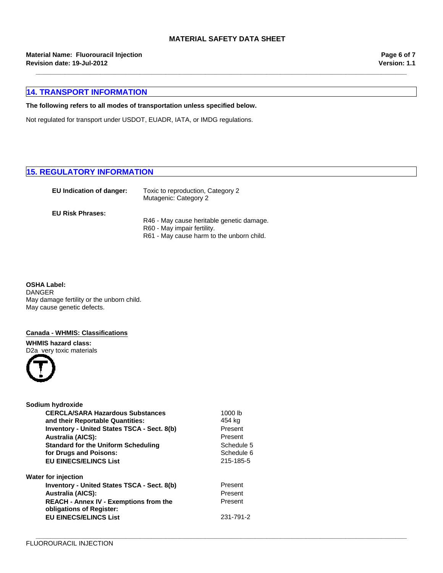**\_\_\_\_\_\_\_\_\_\_\_\_\_\_\_\_\_\_\_\_\_\_\_\_\_\_\_\_\_\_\_\_\_\_\_\_\_\_\_\_\_\_\_\_\_\_\_\_\_\_\_\_\_\_\_\_\_\_\_\_\_\_\_\_\_\_\_\_\_\_\_\_\_\_\_\_\_\_\_\_\_\_\_\_\_\_\_\_\_\_\_\_\_\_\_\_\_\_\_\_\_\_\_**

**\_\_\_\_\_\_\_\_\_\_\_\_\_\_\_\_\_\_\_\_\_\_\_\_\_\_\_\_\_\_\_\_\_\_\_\_\_\_\_\_\_\_\_\_\_\_\_\_\_\_\_\_\_\_\_\_\_\_\_\_\_\_\_\_\_\_\_\_\_\_\_\_\_\_\_\_\_\_\_\_\_\_\_\_\_\_\_\_\_\_\_\_\_\_\_\_\_\_\_\_\_\_\_**

**Material Name: Fluorouracil Injection Revision date: 19-Jul-2012**

**Version: 1.1 Page 6 of 7**

# **14. TRANSPORT INFORMATION**

## **The following refers to all modes of transportation unless specified below.**

Not regulated for transport under USDOT, EUADR, IATA, or IMDG regulations.

# **15. REGULATORY INFORMATION**

| EU Indication of danger: | Toxic to reproduction, Category 2<br>Mutagenic: Category 2 |
|--------------------------|------------------------------------------------------------|
| <b>EU Risk Phrases:</b>  |                                                            |
|                          | R46 - May cause heritable genetic damage.                  |
|                          | R60 - May impair fertility.                                |
|                          | R61 - May cause harm to the unborn child.                  |

**OSHA Label:** DANGER May damage fertility or the unborn child. May cause genetic defects.

#### **Canada - WHMIS: Classifications**

**WHMIS hazard class:** D2a very toxic materials



| Sodium hydroxide                                                          |            |  |
|---------------------------------------------------------------------------|------------|--|
| <b>CERCLA/SARA Hazardous Substances</b>                                   | 1000 lb    |  |
| and their Reportable Quantities:                                          | 454 kg     |  |
| <b>Inventory - United States TSCA - Sect. 8(b)</b>                        | Present    |  |
| <b>Australia (AICS):</b>                                                  | Present    |  |
| <b>Standard for the Uniform Scheduling</b>                                | Schedule 5 |  |
| for Drugs and Poisons:                                                    | Schedule 6 |  |
| <b>EU EINECS/ELINCS List</b>                                              | 215-185-5  |  |
| Water for injection                                                       |            |  |
| Inventory - United States TSCA - Sect. 8(b)                               | Present    |  |
| <b>Australia (AICS):</b>                                                  | Present    |  |
| <b>REACH - Annex IV - Exemptions from the</b><br>obligations of Register: | Present    |  |
| <b>EU EINECS/ELINCS List</b>                                              | 231-791-2  |  |